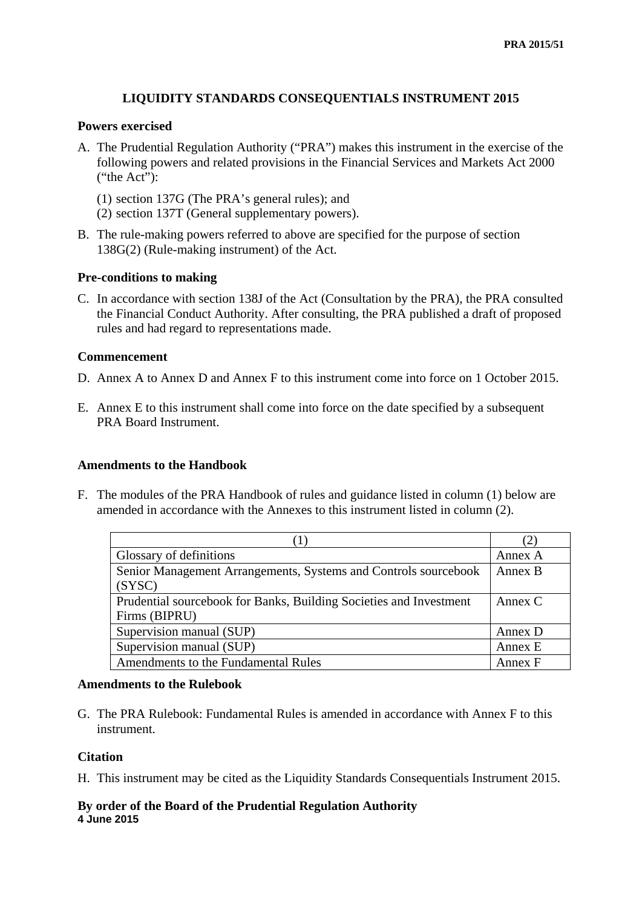#### **LIQUIDITY STANDARDS CONSEQUENTIALS INSTRUMENT 2015**

#### **Powers exercised**

- A. The Prudential Regulation Authority ("PRA") makes this instrument in the exercise of the following powers and related provisions in the Financial Services and Markets Act 2000 ("the Act"):
	- (1) section 137G (The PRA's general rules); and
	- (2) section 137T (General supplementary powers).
- B. The rule-making powers referred to above are specified for the purpose of section 138G(2) (Rule-making instrument) of the Act.

#### **Pre-conditions to making**

C. In accordance with section 138J of the Act (Consultation by the PRA), the PRA consulted the Financial Conduct Authority. After consulting, the PRA published a draft of proposed rules and had regard to representations made.

#### **Commencement**

- D. Annex A to Annex D and Annex F to this instrument come into force on 1 October 2015.
- E. Annex E to this instrument shall come into force on the date specified by a subsequent PRA Board Instrument.

#### **Amendments to the Handbook**

F. The modules of the PRA Handbook of rules and guidance listed in column (1) below are amended in accordance with the Annexes to this instrument listed in column (2).

|                                                                    | (2)       |
|--------------------------------------------------------------------|-----------|
| Glossary of definitions                                            | Annex A   |
| Senior Management Arrangements, Systems and Controls sourcebook    | Annex B   |
| (SYSC)                                                             |           |
| Prudential sourcebook for Banks, Building Societies and Investment | Annex $C$ |
| Firms (BIPRU)                                                      |           |
| Supervision manual (SUP)                                           | Annex D   |
| Supervision manual (SUP)                                           | Annex E   |
| Amendments to the Fundamental Rules                                | Annex F   |

#### **Amendments to the Rulebook**

G. The PRA Rulebook: Fundamental Rules is amended in accordance with Annex F to this instrument.

#### **Citation**

H. This instrument may be cited as the Liquidity Standards Consequentials Instrument 2015.

#### **By order of the Board of the Prudential Regulation Authority 4 June 2015**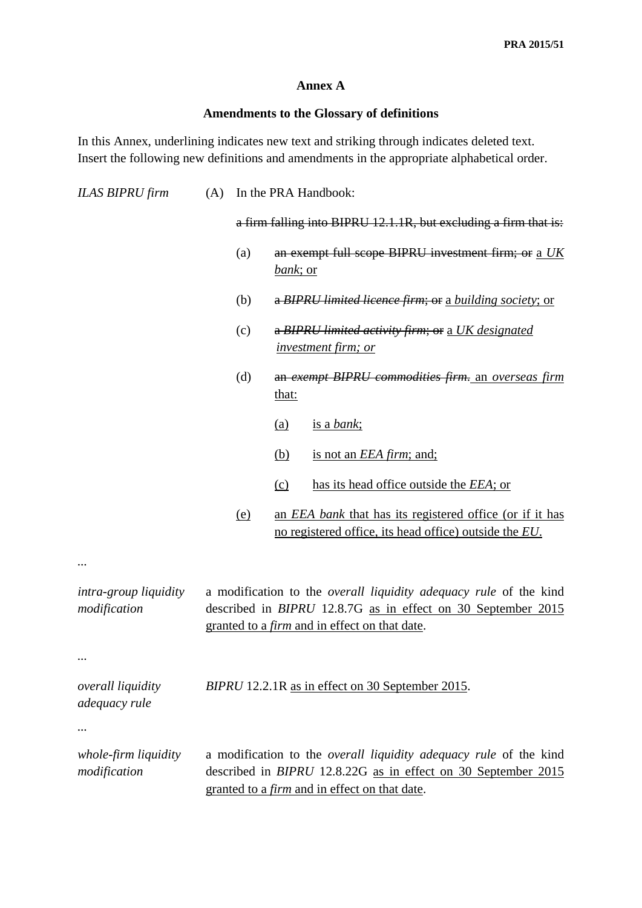#### **Annex A**

### **Amendments to the Glossary of definitions**

In this Annex, underlining indicates new text and striking through indicates deleted text. Insert the following new definitions and amendments in the appropriate alphabetical order.

| <b>ILAS BIPRU firm</b>                    | (A) |            | In the PRA Handbook:                                                                                                                                                                                     |
|-------------------------------------------|-----|------------|----------------------------------------------------------------------------------------------------------------------------------------------------------------------------------------------------------|
|                                           |     |            | a firm falling into BIPRU 12.1.1R, but excluding a firm that is:                                                                                                                                         |
|                                           |     | (a)        | an exempt full scope BIPRU investment firm; or a UK<br><u>bank; or</u>                                                                                                                                   |
|                                           |     | (b)        | a BIPRU limited licence firm; or a building society; or                                                                                                                                                  |
|                                           |     | (c)        | a BIPRU limited activity firm; or a UK designated<br><i>investment firm; or</i>                                                                                                                          |
|                                           |     | (d)        | an exempt BIPRU commodities firm. an overseas firm<br><u>that:</u>                                                                                                                                       |
|                                           |     |            | is a bank;<br><u>(a)</u>                                                                                                                                                                                 |
|                                           |     |            | (b)<br>is not an <i>EEA firm</i> ; and;                                                                                                                                                                  |
|                                           |     |            | has its head office outside the <i>EEA</i> ; or<br>(c)                                                                                                                                                   |
|                                           |     | <u>(e)</u> | an <i>EEA bank</i> that has its registered office (or if it has<br>no registered office, its head office) outside the EU.                                                                                |
|                                           |     |            |                                                                                                                                                                                                          |
| intra-group liquidity<br>modification     |     |            | a modification to the <i>overall liquidity adequacy rule</i> of the kind<br>described in <i>BIPRU</i> 12.8.7G as in effect on 30 September 2015<br>granted to a <i>firm</i> and in effect on that date.  |
|                                           |     |            |                                                                                                                                                                                                          |
| <i>overall liquidity</i><br>adequacy rule |     |            | BIPRU 12.2.1R as in effect on 30 September 2015.                                                                                                                                                         |
|                                           |     |            |                                                                                                                                                                                                          |
| whole-firm liquidity<br>modification      |     |            | a modification to the <i>overall liquidity adequacy rule</i> of the kind<br>described in <i>BIPRU</i> 12.8.22G as in effect on 30 September 2015<br>granted to a <i>firm</i> and in effect on that date. |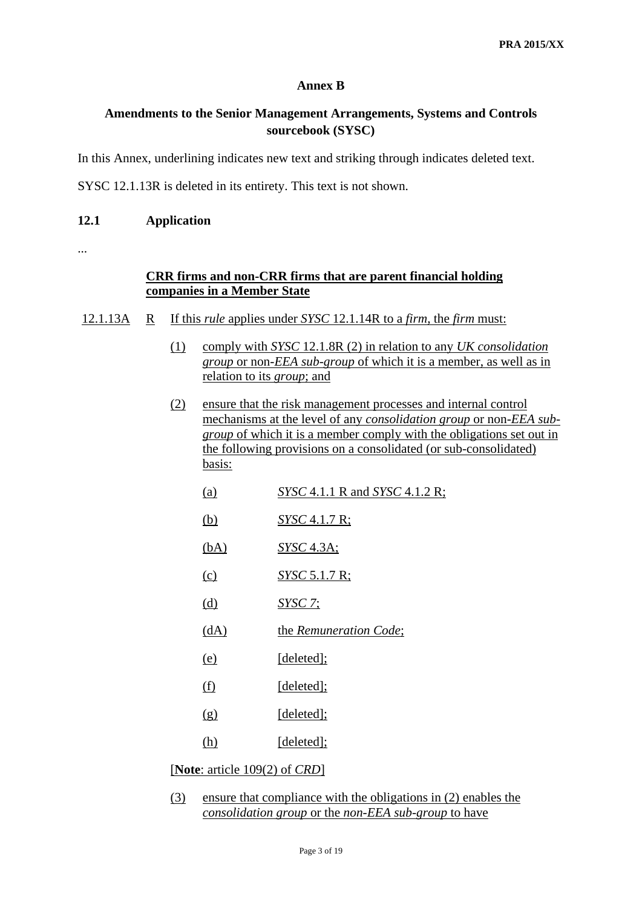#### **Annex B**

### **Amendments to the Senior Management Arrangements, Systems and Controls sourcebook (SYSC)**

In this Annex, underlining indicates new text and striking through indicates deleted text.

SYSC 12.1.13R is deleted in its entirety. This text is not shown.

#### **12.1 Application**

...

#### **CRR firms and non-CRR firms that are parent financial holding companies in a Member State**

- 12.1.13A R If this *rule* applies under *SYSC* 12.1.14R to a *firm*, the *firm* must:
	- (1) comply with *SYSC* 12.1.8R (2) in relation to any *UK consolidation group* or non-*[EEA](http://fshandbook.info/FS/glossary-html/handbook/Glossary/E?definition=G313) [sub-group](http://fshandbook.info/FS/glossary-html/handbook/Glossary/S?definition=G1141)* of which it is a member, as well as in relation to its *group*; and
	- (2) ensure that the risk management processes and internal control mechanisms at the level of any *consolidation group* or non-*EEA subgroup* of which it is a member comply with the obligations set out in the following provisions on a consolidated (or sub-consolidated) basis:

| (a)                                              | SYSC 4.1.1 R and SYSC 4.1.2 R; |
|--------------------------------------------------|--------------------------------|
| (b)                                              | SYSC 4.1.7 R;                  |
| (bA)                                             | $SYSC$ 4.3A;                   |
| (c)                                              | <u>SYSC 5.1.7 R;</u>           |
| (d)                                              | <u>SYSC 7;</u>                 |
| (dA)                                             | the Remuneration Code;         |
| (e)                                              | [deleted];                     |
| (f)                                              | [deleted];                     |
| (g)                                              | [deleted];                     |
| (h)                                              | [deleted];                     |
| [ <b>Note</b> : article $109(2)$ of <i>CRD</i> ] |                                |

(3) ensure that compliance with the obligations in (2) enables the *consolidation group* or the *non-EEA sub-group* to have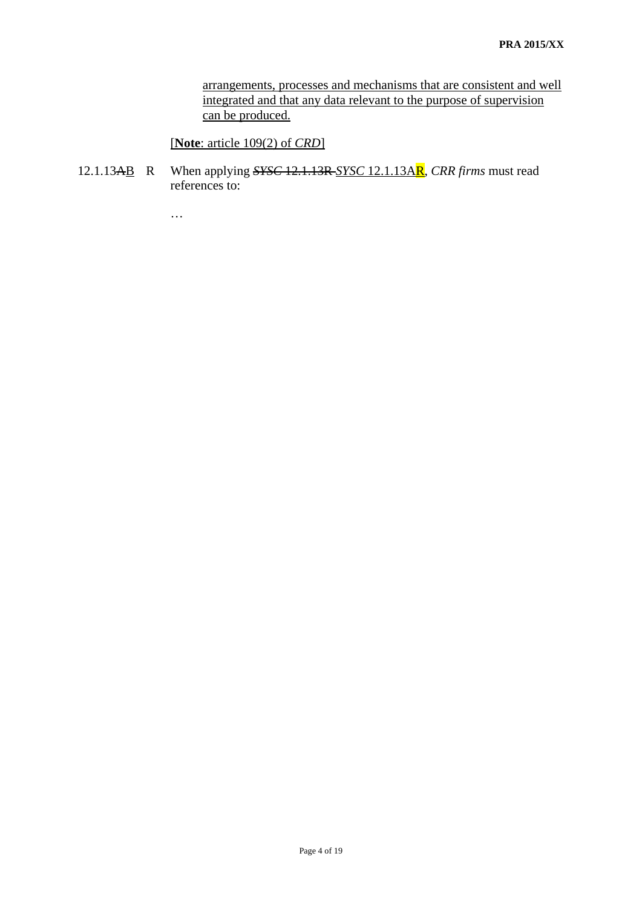arrangements, processes and mechanisms that are consistent and well integrated and that any data relevant to the purpose of supervision can be produced.

[**Note**: article 109(2) of *CRD*]

12.1.13AB R When applying *SYSC* 12.1.13R *SYSC* 12.1.13AR, *CRR firms* must read references to:

…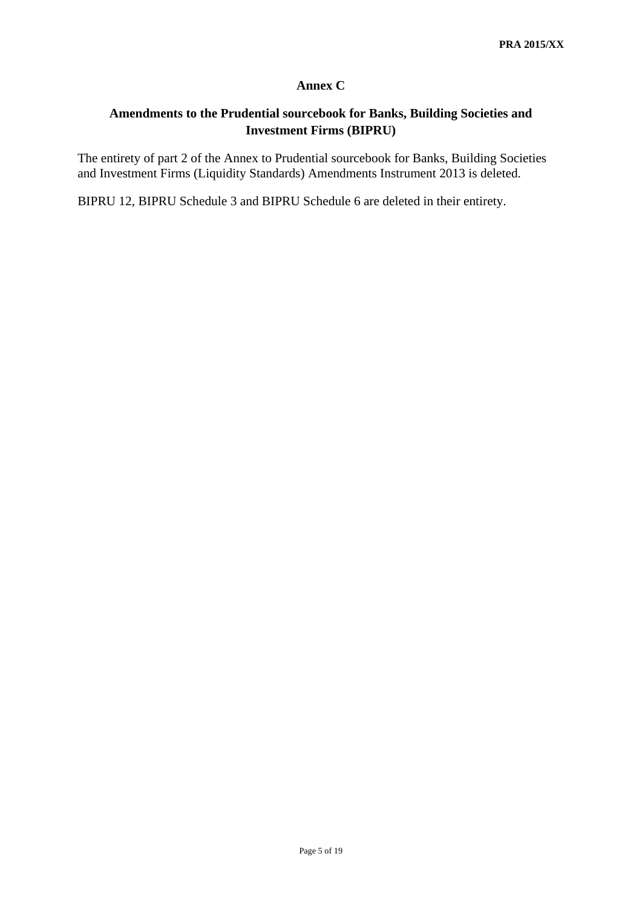#### **Annex C**

## **Amendments to the Prudential sourcebook for Banks, Building Societies and Investment Firms (BIPRU)**

The entirety of part 2 of the Annex to Prudential sourcebook for Banks, Building Societies and Investment Firms (Liquidity Standards) Amendments Instrument 2013 is deleted.

BIPRU 12, BIPRU Schedule 3 and BIPRU Schedule 6 are deleted in their entirety.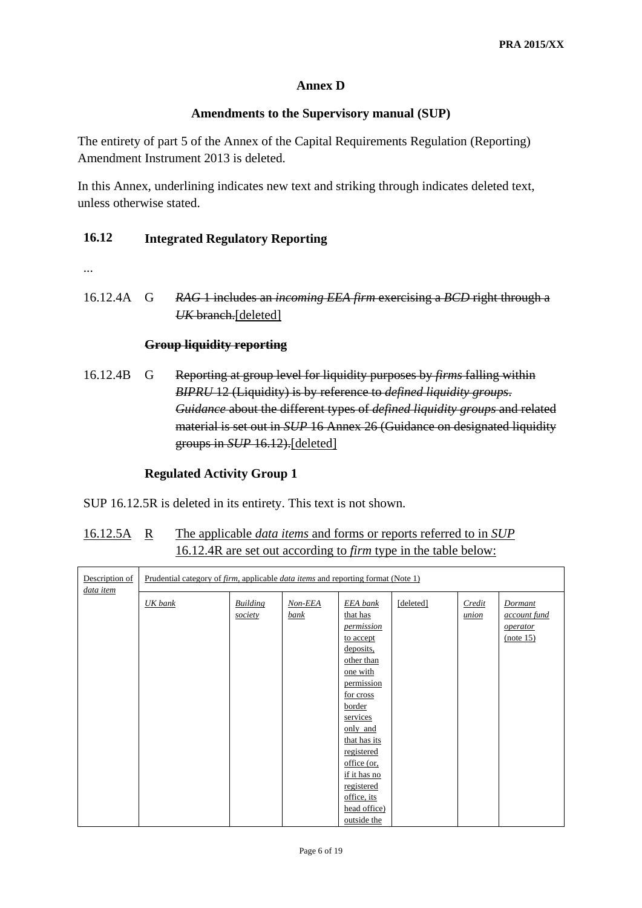### **Annex D**

#### **Amendments to the Supervisory manual (SUP)**

The entirety of part 5 of the Annex of the Capital Requirements Regulation (Reporting) Amendment Instrument 2013 is deleted.

In this Annex, underlining indicates new text and striking through indicates deleted text, unless otherwise stated.

### **16.12 Integrated Regulatory Reporting**

- ...
- 16.12.4A G *RAG* 1 includes an *incoming EEA firm* exercising a *BCD* right through a *UK* branch.[deleted]

#### **Group liquidity reporting**

16.12.4B G Reporting at group level for liquidity purposes by *firms* falling within *BIPRU* 12 (Liquidity) is by reference to *defined liquidity groups*. *Guidance* about the different types of *defined liquidity groups* and related material is set out in *SUP* 16 Annex 26 (Guidance on designated liquidity groups in *SUP* 16.12).[deleted]

#### **Regulated Activity Group 1**

SUP 16.12.5R is deleted in its entirety. This text is not shown.

### 16.12.5A R The applicable *data items* and forms or reports referred to in *SUP*  16.12.4R are set out according to *firm* type in the table below:

| Description of | Prudential category of <i>firm</i> , applicable <i>data items</i> and reporting format (Note 1) |                            |                 |                                                                                                                                                                                                                                                                                     |           |                 |                                                                |
|----------------|-------------------------------------------------------------------------------------------------|----------------------------|-----------------|-------------------------------------------------------------------------------------------------------------------------------------------------------------------------------------------------------------------------------------------------------------------------------------|-----------|-----------------|----------------------------------------------------------------|
| data item      | <b>UK</b> bank                                                                                  | <b>Building</b><br>society | Non-EEA<br>bank | EEA bank<br>that has<br><i>permission</i><br>to accept<br>deposits,<br>other than<br>one with<br>permission<br>for cross<br>border<br>services<br>only and<br>that has its<br>registered<br>office (or,<br>if it has no<br>registered<br>office, its<br>head office)<br>outside the | [deleted] | Credit<br>union | <b>Dormant</b><br><i>account fund</i><br>operator<br>(note 15) |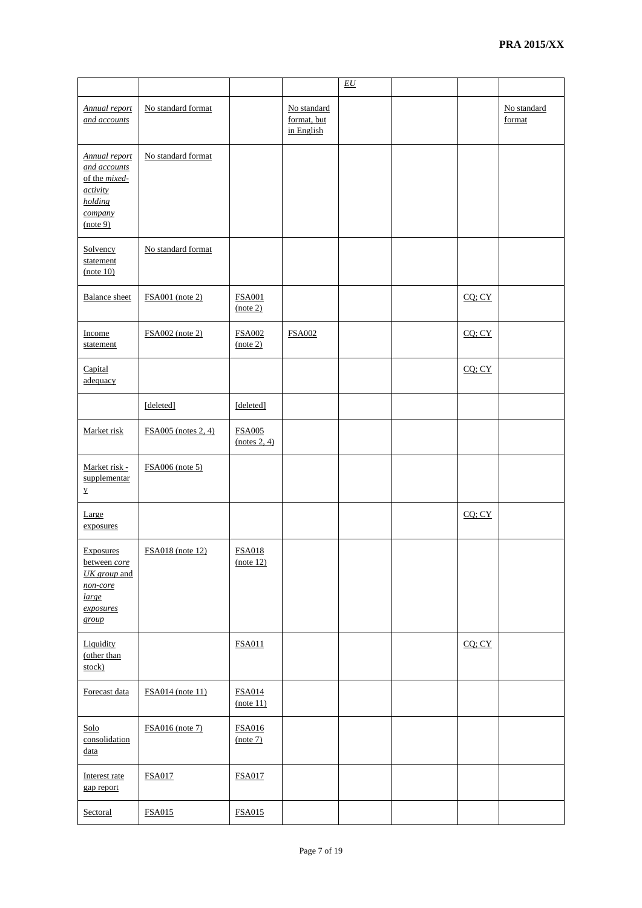|                                                                                                     |                            |                               |                                          | $\underline{EU}$ |        |                       |
|-----------------------------------------------------------------------------------------------------|----------------------------|-------------------------------|------------------------------------------|------------------|--------|-----------------------|
| <b>Annual report</b><br>and accounts                                                                | No standard format         |                               | No standard<br>format, but<br>in English |                  |        | No standard<br>format |
| <b>Annual report</b><br>and accounts<br>of the mixed-<br>activity<br>holding<br>company<br>(note 9) | No standard format         |                               |                                          |                  |        |                       |
| Solvency<br>statement<br>(note 10)                                                                  | No standard format         |                               |                                          |                  |        |                       |
| <b>Balance</b> sheet                                                                                | <b>FSA001</b> (note 2)     | <b>FSA001</b><br>(note 2)     |                                          |                  | CQ; CY |                       |
| Income<br>statement                                                                                 | $FSA002$ (note 2)          | <b>FSA002</b><br>(note 2)     | <b>FSA002</b>                            |                  | CQ; CY |                       |
| Capital<br>adequacy                                                                                 |                            |                               |                                          |                  | CQ; CY |                       |
|                                                                                                     | [deleted]                  | [deleted]                     |                                          |                  |        |                       |
| Market risk                                                                                         | <b>FSA005</b> (notes 2, 4) | <b>FSA005</b><br>(notes 2, 4) |                                          |                  |        |                       |
| Market risk -<br>supplementar<br>$\underline{\mathbf{y}}$                                           | <b>FSA006</b> (note 5)     |                               |                                          |                  |        |                       |
| Large<br>exposures                                                                                  |                            |                               |                                          |                  | CQ; CY |                       |
| <b>Exposures</b><br>between core<br>UK group and<br>non-core<br>large<br>exposures<br>group         | <b>FSA018</b> (note 12)    | <b>FSA018</b><br>(note 12)    |                                          |                  |        |                       |
| Liquidity<br>(other than<br>stock)                                                                  |                            | <b>FSA011</b>                 |                                          |                  | CQ; CY |                       |
| Forecast data                                                                                       | <b>FSA014</b> (note 11)    | <b>FSA014</b><br>(note 11)    |                                          |                  |        |                       |
| Solo<br>consolidation<br>data                                                                       | <b>FSA016</b> (note 7)     | <b>FSA016</b><br>(note 7)     |                                          |                  |        |                       |
| Interest rate<br>gap report                                                                         | <b>FSA017</b>              | <b>FSA017</b>                 |                                          |                  |        |                       |
| Sectoral                                                                                            | <b>FSA015</b>              | <b>FSA015</b>                 |                                          |                  |        |                       |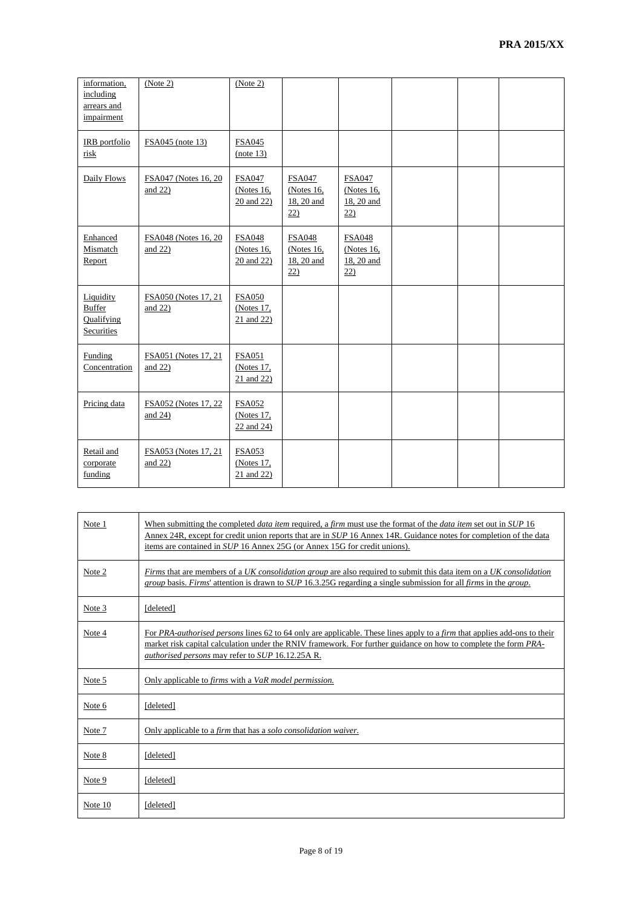| information,<br>including<br>arrears and<br>impairment | (Note 2)                            | (Note 2)                                     |                                                      |                                                     |  |  |
|--------------------------------------------------------|-------------------------------------|----------------------------------------------|------------------------------------------------------|-----------------------------------------------------|--|--|
| IRB portfolio<br>risk                                  | FSA045 (note 13)                    | <b>FSA045</b><br>(note 13)                   |                                                      |                                                     |  |  |
| Daily Flows                                            | FSA047 (Notes 16, 20)<br>and $22$ ) | <b>FSA047</b><br>(Notes $16$ ,<br>20 and 22) | <b>FSA047</b><br>(Notes $16$ ,<br>18, 20 and<br>22)  | <b>FSA047</b><br>(Notes $16$ ,<br>18, 20 and<br>22) |  |  |
| Enhanced<br>Mismatch<br>Report                         | FSA048 (Notes 16, 20)<br>and $22)$  | <b>FSA048</b><br>(Notes $16$ ,<br>20 and 22) | <b>FSA048</b><br>(Notes $16$ ,<br>18, 20 and<br>(22) | <b>FSA048</b><br>(Notes $16$ ,<br>18, 20 and<br>22) |  |  |
| Liquidity<br><b>Buffer</b><br>Qualifying<br>Securities | FSA050 (Notes 17, 21)<br>and $22)$  | <b>FSA050</b><br>(Notes 17,<br>21 and 22)    |                                                      |                                                     |  |  |
| <b>Funding</b><br>Concentration                        | FSA051 (Notes 17, 21)<br>and $22$ ) | <b>FSA051</b><br>(Notes 17,<br>21 and 22)    |                                                      |                                                     |  |  |
| Pricing data                                           | FSA052 (Notes 17, 22)<br>and $24$ ) | <b>FSA052</b><br>(Notes 17,<br>22 and 24)    |                                                      |                                                     |  |  |
| Retail and<br>corporate<br>funding                     | FSA053 (Notes 17, 21<br>and $22$ )  | <b>FSA053</b><br>(Notes 17,<br>21 and 22)    |                                                      |                                                     |  |  |

| Note 1  | When submitting the completed <i>data item</i> required, a <i>firm</i> must use the format of the <i>data item</i> set out in <i>SUP</i> 16<br>Annex 24R, except for credit union reports that are in SUP 16 Annex 14R. Guidance notes for completion of the data<br>items are contained in <i>SUP</i> 16 Annex 25G (or Annex 15G for credit unions). |
|---------|-------------------------------------------------------------------------------------------------------------------------------------------------------------------------------------------------------------------------------------------------------------------------------------------------------------------------------------------------------|
| Note 2  | Firms that are members of a UK consolidation group are also required to submit this data item on a UK consolidation<br>group basis. Firms' attention is drawn to SUP 16.3.25G regarding a single submission for all firms in the group.                                                                                                               |
| Note 3  | [deleted]                                                                                                                                                                                                                                                                                                                                             |
| Note 4  | For PRA-authorised persons lines 62 to 64 only are applicable. These lines apply to a firm that applies add-ons to their<br>market risk capital calculation under the RNIV framework. For further guidance on how to complete the form PRA-<br><i>authorised persons</i> may refer to <i>SUP</i> 16.12.25A R.                                         |
| Note 5  | Only applicable to <i>firms</i> with a VaR model permission.                                                                                                                                                                                                                                                                                          |
| Note 6  | [deleted]                                                                                                                                                                                                                                                                                                                                             |
| Note 7  | Only applicable to a <i>firm</i> that has a <i>solo consolidation waiver</i> .                                                                                                                                                                                                                                                                        |
| Note 8  | [deleted]                                                                                                                                                                                                                                                                                                                                             |
| Note 9  | [deleted]                                                                                                                                                                                                                                                                                                                                             |
| Note 10 | [deleted]                                                                                                                                                                                                                                                                                                                                             |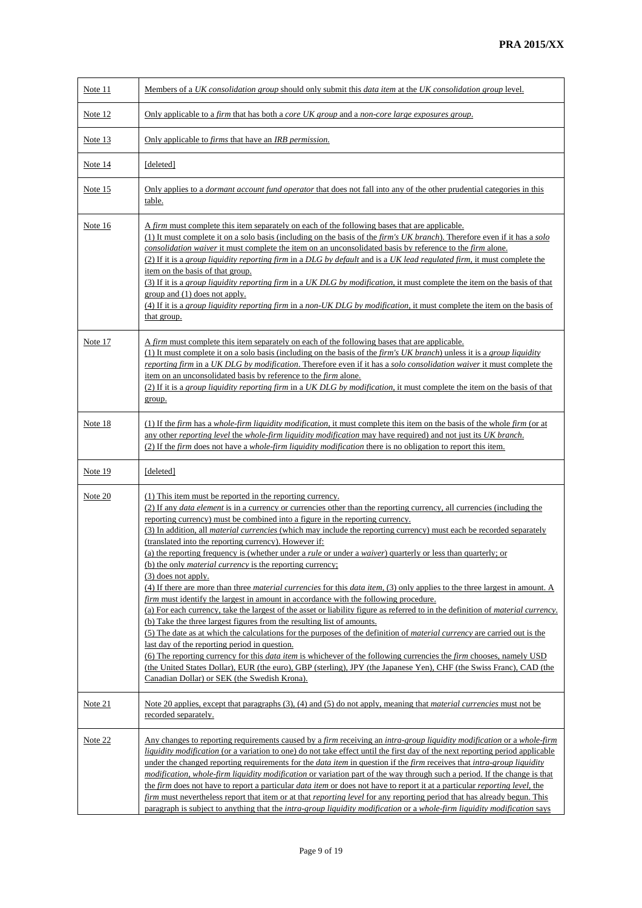| Note 11        | Members of a UK consolidation group should only submit this data item at the UK consolidation group level.                                                                                                                                                                                                                                                                                                                                                                                                                                                                                                                                                                                                                                                                                                                                                                                                                                                                                                                                                                                                                                                                                                                                                                                                                                                                                                                                                                                                                                                                                                                                                         |
|----------------|--------------------------------------------------------------------------------------------------------------------------------------------------------------------------------------------------------------------------------------------------------------------------------------------------------------------------------------------------------------------------------------------------------------------------------------------------------------------------------------------------------------------------------------------------------------------------------------------------------------------------------------------------------------------------------------------------------------------------------------------------------------------------------------------------------------------------------------------------------------------------------------------------------------------------------------------------------------------------------------------------------------------------------------------------------------------------------------------------------------------------------------------------------------------------------------------------------------------------------------------------------------------------------------------------------------------------------------------------------------------------------------------------------------------------------------------------------------------------------------------------------------------------------------------------------------------------------------------------------------------------------------------------------------------|
| Note 12        | Only applicable to a firm that has both a core UK group and a non-core large exposures group.                                                                                                                                                                                                                                                                                                                                                                                                                                                                                                                                                                                                                                                                                                                                                                                                                                                                                                                                                                                                                                                                                                                                                                                                                                                                                                                                                                                                                                                                                                                                                                      |
| Note 13        | Only applicable to <i>firms</i> that have an <i>IRB permission</i> .                                                                                                                                                                                                                                                                                                                                                                                                                                                                                                                                                                                                                                                                                                                                                                                                                                                                                                                                                                                                                                                                                                                                                                                                                                                                                                                                                                                                                                                                                                                                                                                               |
| Note 14        | [deleted]                                                                                                                                                                                                                                                                                                                                                                                                                                                                                                                                                                                                                                                                                                                                                                                                                                                                                                                                                                                                                                                                                                                                                                                                                                                                                                                                                                                                                                                                                                                                                                                                                                                          |
| <u>Note 15</u> | Only applies to a <i>dormant account fund operator</i> that does not fall into any of the other prudential categories in this<br>table.                                                                                                                                                                                                                                                                                                                                                                                                                                                                                                                                                                                                                                                                                                                                                                                                                                                                                                                                                                                                                                                                                                                                                                                                                                                                                                                                                                                                                                                                                                                            |
| Note 16        | A <i>firm</i> must complete this item separately on each of the following bases that are applicable.<br>(1) It must complete it on a solo basis (including on the basis of the <i>firm's UK branch</i> ). Therefore even if it has a <i>solo</i><br>consolidation waiver it must complete the item on an unconsolidated basis by reference to the firm alone.<br>(2) If it is a group liquidity reporting firm in a DLG by default and is a UK lead regulated firm, it must complete the<br>item on the basis of that group.<br>(3) If it is a group liquidity reporting firm in a UK DLG by modification, it must complete the item on the basis of that<br>group and (1) does not apply.<br>(4) If it is a group liquidity reporting firm in a non-UK DLG by modification, it must complete the item on the basis of<br>that group.                                                                                                                                                                                                                                                                                                                                                                                                                                                                                                                                                                                                                                                                                                                                                                                                                              |
| Note 17        | A firm must complete this item separately on each of the following bases that are applicable.<br>(1) It must complete it on a solo basis (including on the basis of the firm's UK branch) unless it is a group liquidity<br>reporting firm in a UK DLG by modification. Therefore even if it has a solo consolidation waiver it must complete the<br>item on an unconsolidated basis by reference to the <i>firm</i> alone.<br>(2) If it is a group liquidity reporting firm in a UK DLG by modification, it must complete the item on the basis of that<br>group.                                                                                                                                                                                                                                                                                                                                                                                                                                                                                                                                                                                                                                                                                                                                                                                                                                                                                                                                                                                                                                                                                                 |
| Note 18        | (1) If the firm has a whole-firm liquidity modification, it must complete this item on the basis of the whole firm (or at<br>any other reporting level the whole-firm liquidity modification may have required) and not just its UK branch.<br>(2) If the <i>firm</i> does not have a <i>whole-firm liquidity modification</i> there is no obligation to report this item.                                                                                                                                                                                                                                                                                                                                                                                                                                                                                                                                                                                                                                                                                                                                                                                                                                                                                                                                                                                                                                                                                                                                                                                                                                                                                         |
| Note 19        | [deleted]                                                                                                                                                                                                                                                                                                                                                                                                                                                                                                                                                                                                                                                                                                                                                                                                                                                                                                                                                                                                                                                                                                                                                                                                                                                                                                                                                                                                                                                                                                                                                                                                                                                          |
| Note 20        | (1) This item must be reported in the reporting currency.<br>(2) If any <i>data element</i> is in a currency or currencies other than the reporting currency, all currencies (including the<br>reporting currency) must be combined into a figure in the reporting currency.<br>(3) In addition, all <i>material currencies</i> (which may include the reporting currency) must each be recorded separately<br>(translated into the reporting currency). However if:<br>(a) the reporting frequency is (whether under a <i>rule</i> or under a <i>waiver</i> ) quarterly or less than quarterly; or<br>(b) the only <i>material currency</i> is the reporting currency;<br>$(3)$ does not apply.<br>(4) If there are more than three <i>material currencies</i> for this <i>data item</i> , (3) only applies to the three largest in amount. A<br><i>firm</i> must identify the largest in amount in accordance with the following procedure.<br>(a) For each currency, take the largest of the asset or liability figure as referred to in the definition of <i>material currency</i> .<br>(b) Take the three largest figures from the resulting list of amounts.<br>(5) The date as at which the calculations for the purposes of the definition of <i>material currency</i> are carried out is the<br>last day of the reporting period in question.<br>(6) The reporting currency for this <i>data item</i> is whichever of the following currencies the <i>firm</i> chooses, namely USD<br>(the United States Dollar), EUR (the euro), GBP (sterling), JPY (the Japanese Yen), CHF (the Swiss Franc), CAD (the<br>Canadian Dollar) or SEK (the Swedish Krona). |
| Note 21        | Note 20 applies, except that paragraphs (3), (4) and (5) do not apply, meaning that <i>material currencies</i> must not be<br>recorded separately.                                                                                                                                                                                                                                                                                                                                                                                                                                                                                                                                                                                                                                                                                                                                                                                                                                                                                                                                                                                                                                                                                                                                                                                                                                                                                                                                                                                                                                                                                                                 |
| Note 22        | Any changes to reporting requirements caused by a firm receiving an intra-group liquidity modification or a whole-firm<br><i>liquidity modification</i> (or a variation to one) do not take effect until the first day of the next reporting period applicable<br>under the changed reporting requirements for the <i>data item</i> in question if the <i>firm</i> receives that <i>intra-group liquidity</i><br>modification, whole-firm liquidity modification or variation part of the way through such a period. If the change is that<br>the firm does not have to report a particular <i>data item</i> or does not have to report it at a particular <i>reporting level</i> , the<br>firm must nevertheless report that item or at that reporting level for any reporting period that has already begun. This<br>paragraph is subject to anything that the <i>intra-group liquidity modification</i> or a <i>whole-firm liquidity modification</i> says                                                                                                                                                                                                                                                                                                                                                                                                                                                                                                                                                                                                                                                                                                      |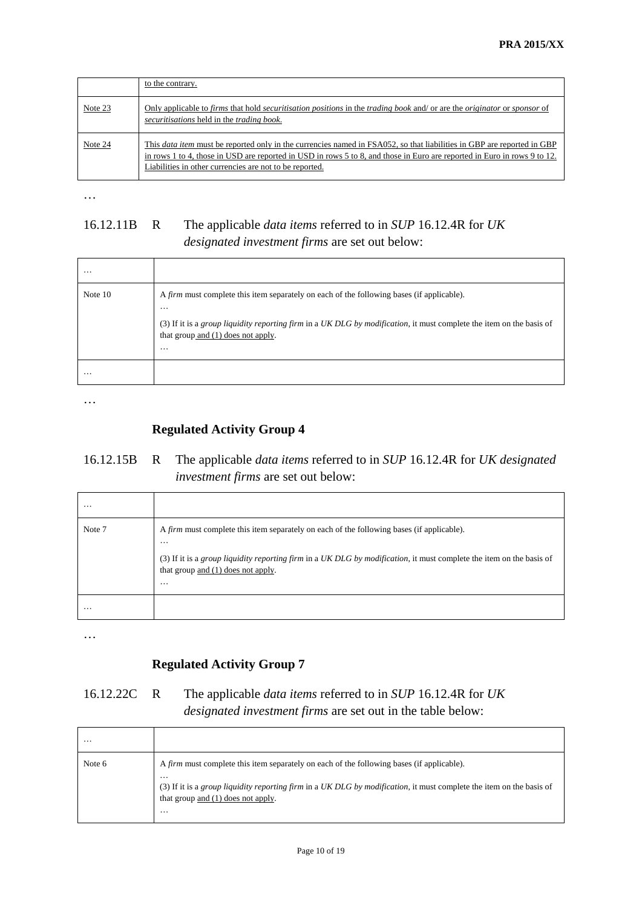|         | to the contrary.                                                                                                                                                                                                                                                                                                     |
|---------|----------------------------------------------------------------------------------------------------------------------------------------------------------------------------------------------------------------------------------------------------------------------------------------------------------------------|
| Note 23 | Only applicable to firms that hold <i>securitisation positions</i> in the <i>trading book</i> and/ or are the <i>originator</i> or <i>sponsor</i> of<br>securitisations held in the trading book.                                                                                                                    |
| Note 24 | This <i>data item</i> must be reported only in the currencies named in FSA052, so that liabilities in GBP are reported in GBP<br>in rows 1 to 4, those in USD are reported in USD in rows 5 to 8, and those in Euro are reported in Euro in rows 9 to 12.<br>Liabilities in other currencies are not to be reported. |

### 16.12.11B R The applicable *data items* referred to in *SUP* 16.12.4R for *UK designated investment firms* are set out below:

| $\cdots$  |                                                                                                                                                                                                                                                                                          |
|-----------|------------------------------------------------------------------------------------------------------------------------------------------------------------------------------------------------------------------------------------------------------------------------------------------|
| Note $10$ | A <i>firm</i> must complete this item separately on each of the following bases (if applicable).<br>$\cdots$<br>(3) If it is a group liquidity reporting firm in a UK DLG by modification, it must complete the item on the basis of<br>that group and $(1)$ does not apply.<br>$\cdots$ |
| .         |                                                                                                                                                                                                                                                                                          |

…

### **Regulated Activity Group 4**

### 16.12.15B R The applicable *data items* referred to in *SUP* 16.12.4R for *UK designated investment firms* are set out below:

| $\cdots$ |                                                                                                                                                                                                                                                                                          |
|----------|------------------------------------------------------------------------------------------------------------------------------------------------------------------------------------------------------------------------------------------------------------------------------------------|
| Note 7   | A <i>firm</i> must complete this item separately on each of the following bases (if applicable).<br>$\cdots$<br>(3) If it is a group liquidity reporting firm in a UK DLG by modification, it must complete the item on the basis of<br>that group and $(1)$ does not apply.<br>$\cdots$ |
| $\cdots$ |                                                                                                                                                                                                                                                                                          |

…

### **Regulated Activity Group 7**

### 16.12.22C R The applicable *data items* referred to in *SUP* 16.12.4R for *UK designated investment firms* are set out in the table below:

| $\cdots$ |                                                                                                                                                                                                                                                                          |
|----------|--------------------------------------------------------------------------------------------------------------------------------------------------------------------------------------------------------------------------------------------------------------------------|
| Note 6   | A <i>firm</i> must complete this item separately on each of the following bases (if applicable).<br>.<br>(3) If it is a group liquidity reporting firm in a UK DLG by modification, it must complete the item on the basis of<br>that group and (1) does not apply.<br>. |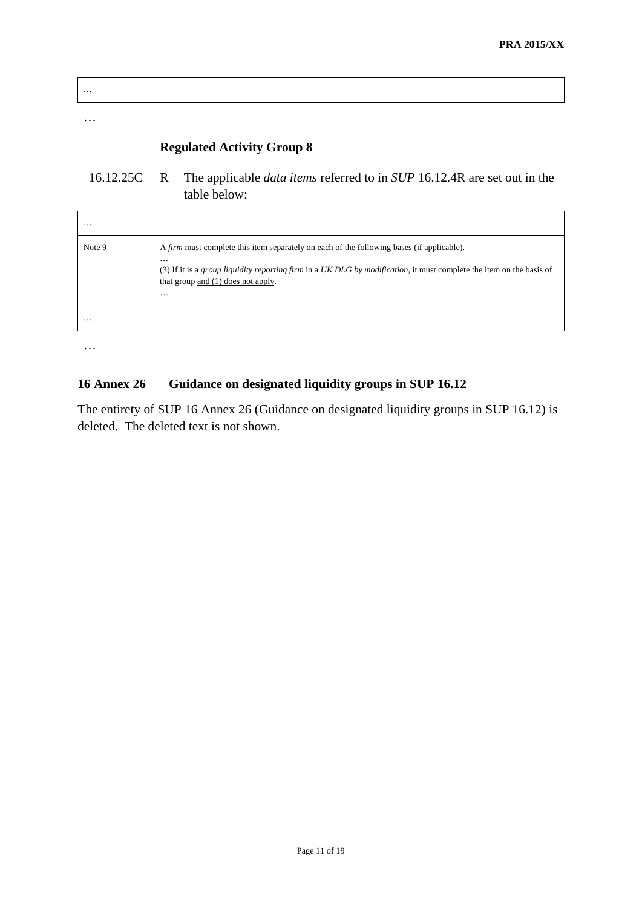| . |  |  |  |  |  |  |
|---|--|--|--|--|--|--|
|---|--|--|--|--|--|--|

### **Regulated Activity Group 8**

### 16.12.25C R The applicable *data items* referred to in *SUP* 16.12.4R are set out in the table below:

| .        |                                                                                                                                                                                                                                                                                        |
|----------|----------------------------------------------------------------------------------------------------------------------------------------------------------------------------------------------------------------------------------------------------------------------------------------|
| Note 9   | A <i>firm</i> must complete this item separately on each of the following bases (if applicable).<br>$\cdots$<br>(3) If it is a group liquidity reporting firm in a UK DLG by modification, it must complete the item on the basis of<br>that group and (1) does not apply.<br>$\cdots$ |
| $\cdots$ |                                                                                                                                                                                                                                                                                        |

…

#### **16 Annex 26 Guidance on designated liquidity groups in SUP 16.12**

The entirety of SUP 16 Annex 26 (Guidance on designated liquidity groups in SUP 16.12) is deleted. The deleted text is not shown.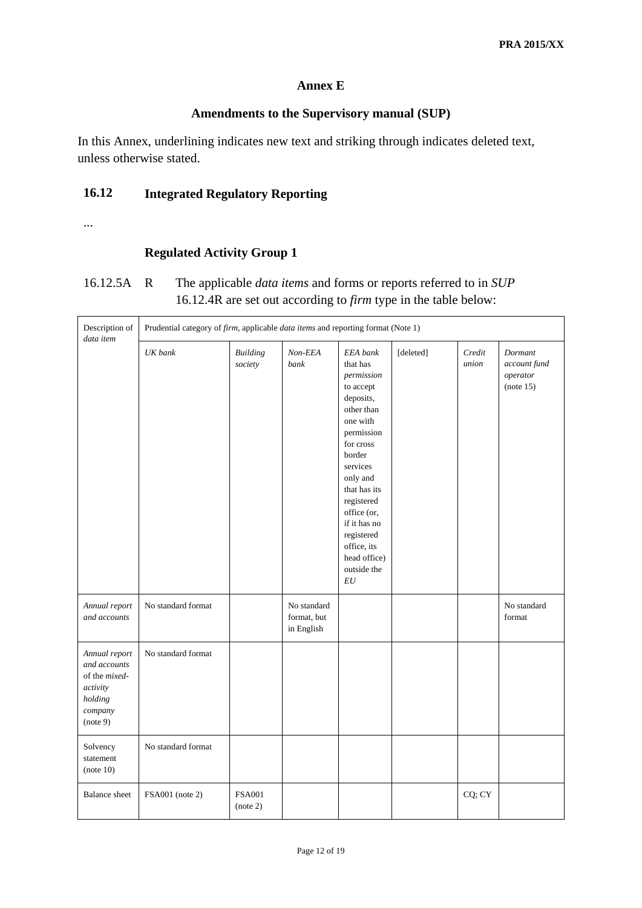#### **Annex E**

#### **Amendments to the Supervisory manual (SUP)**

In this Annex, underlining indicates new text and striking through indicates deleted text, unless otherwise stated.

### **16.12 Integrated Regulatory Reporting**

...

Ē.

#### **Regulated Activity Group 1**

### 16.12.5A R The applicable *data items* and forms or reports referred to in *SUP*  16.12.4R are set out according to *firm* type in the table below:

| Description of<br>data item                                                                  |                    | Prudential category of <i>firm</i> , applicable <i>data items</i> and reporting format (Note 1) |                                          |                                                                                                                                                                                                                                                                                    |           |                 |                                                  |  |
|----------------------------------------------------------------------------------------------|--------------------|-------------------------------------------------------------------------------------------------|------------------------------------------|------------------------------------------------------------------------------------------------------------------------------------------------------------------------------------------------------------------------------------------------------------------------------------|-----------|-----------------|--------------------------------------------------|--|
|                                                                                              | UK bank            | <b>Building</b><br>society                                                                      | $Non-EEA$<br>bank                        | EEA bank<br>that has<br>permission<br>to accept<br>deposits,<br>other than<br>one with<br>permission<br>for cross<br>border<br>services<br>only and<br>that has its<br>registered<br>office (or,<br>if it has no<br>registered<br>office, its<br>head office)<br>outside the<br>EU | [deleted] | Credit<br>union | Dormant<br>account fund<br>operator<br>(note 15) |  |
| Annual report<br>and accounts                                                                | No standard format |                                                                                                 | No standard<br>format, but<br>in English |                                                                                                                                                                                                                                                                                    |           |                 | No standard<br>format                            |  |
| Annual report<br>and accounts<br>of the mixed-<br>activity<br>holding<br>company<br>(note 9) | No standard format |                                                                                                 |                                          |                                                                                                                                                                                                                                                                                    |           |                 |                                                  |  |
| Solvency<br>statement<br>(note 10)                                                           | No standard format |                                                                                                 |                                          |                                                                                                                                                                                                                                                                                    |           |                 |                                                  |  |
| <b>Balance</b> sheet                                                                         | FSA001 (note 2)    | <b>FSA001</b><br>(note 2)                                                                       |                                          |                                                                                                                                                                                                                                                                                    |           | CQ; CY          |                                                  |  |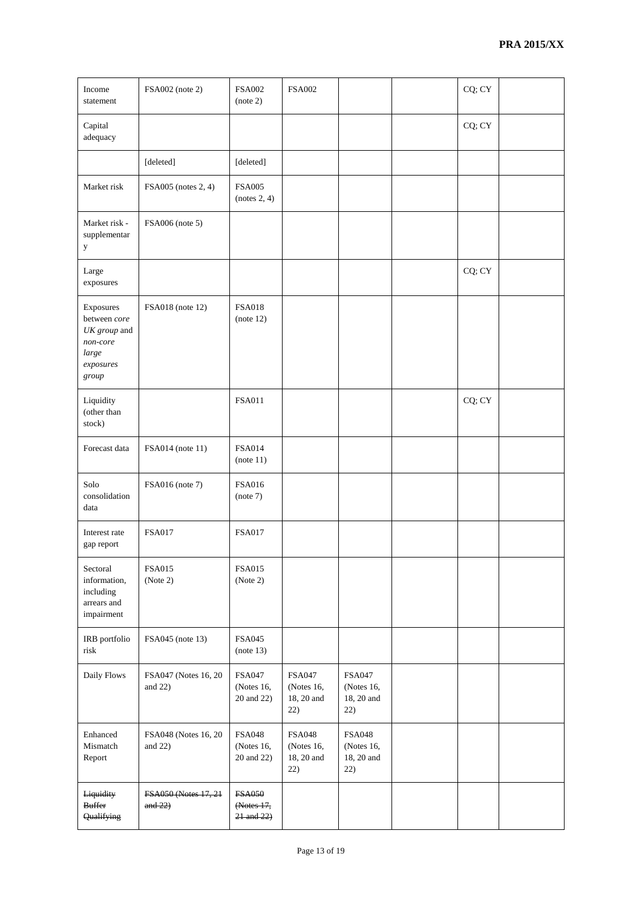| Income<br>statement                                                                    | FSA002 (note 2)                    | <b>FSA002</b><br>(note 2)                      | <b>FSA002</b>                                    |                                                  | CQ; CY |  |
|----------------------------------------------------------------------------------------|------------------------------------|------------------------------------------------|--------------------------------------------------|--------------------------------------------------|--------|--|
| Capital<br>adequacy                                                                    |                                    |                                                |                                                  |                                                  | CQ; CY |  |
|                                                                                        | [deleted]                          | [deleted]                                      |                                                  |                                                  |        |  |
| Market risk                                                                            | FSA005 (notes 2, 4)                | <b>FSA005</b><br>(notes 2, 4)                  |                                                  |                                                  |        |  |
| Market risk -<br>supplementar<br>y                                                     | FSA006 (note 5)                    |                                                |                                                  |                                                  |        |  |
| Large<br>exposures                                                                     |                                    |                                                |                                                  |                                                  | CQ; CY |  |
| Exposures<br>between core<br>UK group and<br>$non-core$<br>large<br>exposures<br>group | FSA018 (note 12)                   | <b>FSA018</b><br>(note 12)                     |                                                  |                                                  |        |  |
| Liquidity<br>(other than<br>stock)                                                     |                                    | <b>FSA011</b>                                  |                                                  |                                                  | CQ; CY |  |
| Forecast data                                                                          | FSA014 (note 11)                   | <b>FSA014</b><br>(note 11)                     |                                                  |                                                  |        |  |
| Solo<br>consolidation<br>data                                                          | FSA016 (note 7)                    | <b>FSA016</b><br>(note 7)                      |                                                  |                                                  |        |  |
| Interest rate<br>gap report                                                            | <b>FSA017</b>                      | <b>FSA017</b>                                  |                                                  |                                                  |        |  |
| Sectoral<br>information,<br>including<br>arrears and<br>impairment                     | <b>FSA015</b><br>(Note 2)          | <b>FSA015</b><br>(Note 2)                      |                                                  |                                                  |        |  |
| IRB portfolio<br>risk                                                                  | FSA045 (note 13)                   | <b>FSA045</b><br>(note 13)                     |                                                  |                                                  |        |  |
| Daily Flows                                                                            | FSA047 (Notes 16, 20<br>and $22)$  | <b>FSA047</b><br>(Notes 16,<br>20 and 22)      | <b>FSA047</b><br>(Notes 16,<br>18, 20 and<br>22) | <b>FSA047</b><br>(Notes 16,<br>18, 20 and<br>22) |        |  |
| Enhanced<br>Mismatch<br>Report                                                         | FSA048 (Notes 16, 20<br>and $22$ ) | <b>FSA048</b><br>(Notes 16,<br>20 and 22)      | <b>FSA048</b><br>(Notes 16,<br>18, 20 and<br>22) | <b>FSA048</b><br>(Notes 16,<br>18, 20 and<br>22) |        |  |
| Liquidity<br><b>Buffer</b><br>Qualifying                                               | FSA050 (Notes 17, 21<br>and $22$ ) | <b>FSA050</b><br>(Notes 17,<br>$21$ and $22$ ) |                                                  |                                                  |        |  |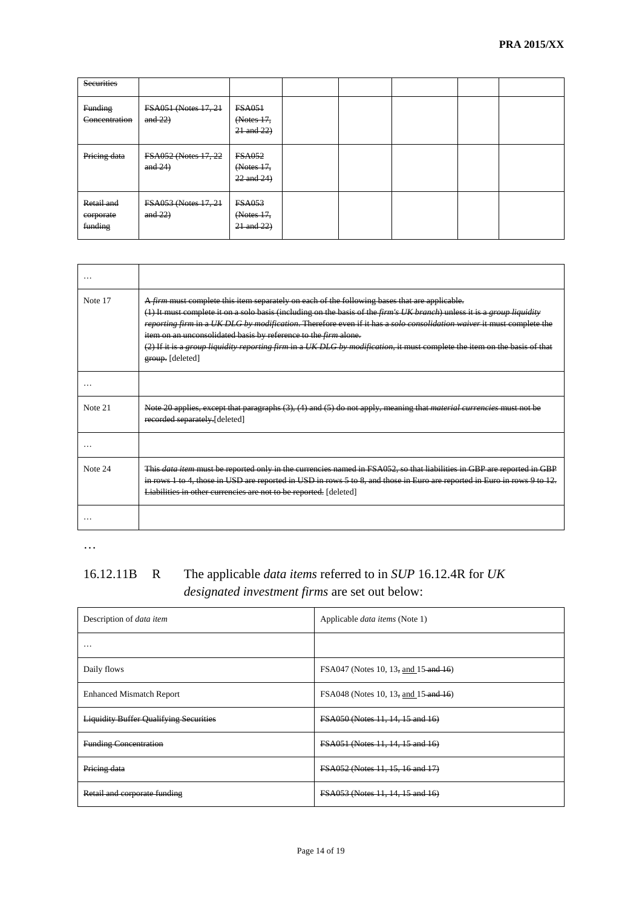| <b>Securities</b>                  |                                    |                                                |  |  |  |
|------------------------------------|------------------------------------|------------------------------------------------|--|--|--|
| <b>Funding</b><br>Concentration    | FSA051 (Notes 17, 21<br>and $22$ ) | <b>FSA051</b><br>(Notes 17,<br>$21$ and $22$ ) |  |  |  |
| Pricing data                       | FSA052 (Notes 17, 22<br>and $24$ ) | <b>FSA052</b><br>(Notes 17,<br>$22$ and $24$ ) |  |  |  |
| Retail and<br>corporate<br>funding | FSA053 (Notes 17, 21<br>and $22$ ) | <b>FSA053</b><br>(Notes 17,<br>$21$ and $22$ ) |  |  |  |

| Note 17 | A firm must complete this item separately on each of the following bases that are applicable.<br>(1) It must complete it on a solo basis (including on the basis of the firm's UK branch) unless it is a group liquidity<br>reporting firm in a UK DLG by modification. Therefore even if it has a solo consolidation waiver it must complete the<br>item on an unconsolidated basis by reference to the <i>firm</i> alone.<br>(2) If it is a group liquidity reporting firm in a UK DLG by modification, it must complete the item on the basis of that<br>group. [deleted] |
|---------|------------------------------------------------------------------------------------------------------------------------------------------------------------------------------------------------------------------------------------------------------------------------------------------------------------------------------------------------------------------------------------------------------------------------------------------------------------------------------------------------------------------------------------------------------------------------------|
|         |                                                                                                                                                                                                                                                                                                                                                                                                                                                                                                                                                                              |
| Note 21 | Note 20 applies, except that paragraphs (3), (4) and (5) do not apply, meaning that material currencies must n<br>recorded separately.[deleted]                                                                                                                                                                                                                                                                                                                                                                                                                              |
|         |                                                                                                                                                                                                                                                                                                                                                                                                                                                                                                                                                                              |
| Note 24 | This data item must be reported only in the currencies named in FSA052, so that liabilities in GBP are reported in GBP<br>in rows 1 to 4, those in USD are reported in USD in rows 5 to 8, and those in Euro are reported in Euro in rows 9 to 12.<br>Liabilities in other currencies are not to be reported. [deleted]                                                                                                                                                                                                                                                      |
|         |                                                                                                                                                                                                                                                                                                                                                                                                                                                                                                                                                                              |

# 16.12.11B R The applicable *data items* referred to in *SUP* 16.12.4R for *UK designated investment firms* are set out below:

| Description of <i>data item</i>               | Applicable <i>data items</i> (Note 1)   |
|-----------------------------------------------|-----------------------------------------|
| $\cdots$                                      |                                         |
| Daily flows                                   | FSA047 (Notes 10, 13, and 15 and 16)    |
| <b>Enhanced Mismatch Report</b>               | FSA048 (Notes 10, 13, and 15 and 16)    |
| <b>Liquidity Buffer Qualifying Securities</b> | <b>FSA050 (Notes 11, 14, 15 and 16)</b> |
| <b>Funding Concentration</b>                  | FSA051 (Notes 11, 14, 15 and 16)        |
| Pricing data                                  | FSA052 (Notes 11, 15, 16 and 17)        |
| Retail and corporate funding                  | FSA053 (Notes 11, 14, 15 and 16)        |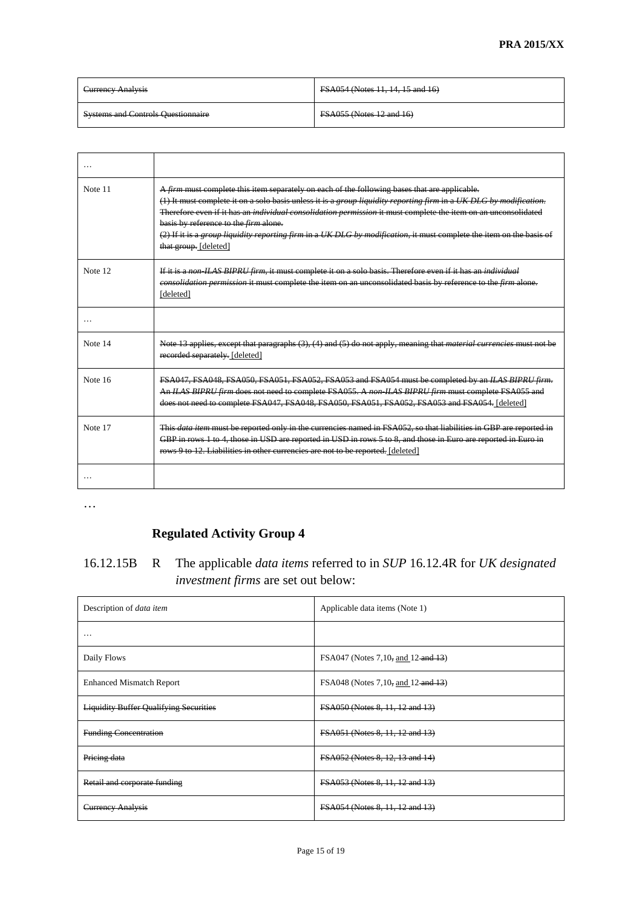| <b>Currency Analysis</b>                  | FSA054 (Notes 11, 14, 15 and 16) |
|-------------------------------------------|----------------------------------|
| <b>Systems and Controls Questionnaire</b> | <b>FSA055 (Notes 12 and 16)</b>  |

| $\cdots$ |                                                                                                                                                                                                                                                                                                                                                                                                                                                                                                                                               |
|----------|-----------------------------------------------------------------------------------------------------------------------------------------------------------------------------------------------------------------------------------------------------------------------------------------------------------------------------------------------------------------------------------------------------------------------------------------------------------------------------------------------------------------------------------------------|
| Note 11  | A firm must complete this item separately on each of the following bases that are applicable.<br>(1) It must complete it on a solo basis unless it is a group liquidity reporting firm in a UK DLG by modification.<br>Therefore even if it has an <i>individual consolidation permission</i> it must complete the item on an unconsolidated<br>basis by reference to the <i>firm</i> alone.<br>(2) If it is a group liquidity reporting firm in a UK DLG by modification, it must complete the item on the basis of<br>that group. [deleted] |
| Note 12  | If it is a non-ILAS BIPRU firm, it must complete it on a solo basis. Therefore even if it has an individual<br>eonsolidation permission it must complete the item on an unconsolidated basis by reference to the firm alone.<br>[deleted]                                                                                                                                                                                                                                                                                                     |
|          |                                                                                                                                                                                                                                                                                                                                                                                                                                                                                                                                               |
| Note 14  | Note 13 applies, except that paragraphs (3), (4) and (5) do not apply, meaning that material currencies must not be<br>recorded separately. [deleted]                                                                                                                                                                                                                                                                                                                                                                                         |
| Note 16  | FSA047, FSA048, FSA050, FSA051, FSA052, FSA053 and FSA054 must be completed by an ILAS BIPRU firm.<br>An ILAS BIPRU firm does not need to complete FSA055. A non ILAS BIPRU firm must complete FSA055 and<br>does not need to complete FSA047, FSA048, FSA050, FSA051, FSA052, FSA053 and FSA054, [deleted]                                                                                                                                                                                                                                   |
| Note 17  | This data item must be reported only in the currencies named in FSA052, so that liabilities in GBP are reported in<br>GBP in rows 1 to 4, those in USD are reported in USD in rows 5 to 8, and those in Euro are reported in Euro in<br>rows 9 to 12. Liabilities in other currencies are not to be reported. [deleted]                                                                                                                                                                                                                       |
|          |                                                                                                                                                                                                                                                                                                                                                                                                                                                                                                                                               |

# **Regulated Activity Group 4**

# 16.12.15B R The applicable *data items* referred to in *SUP* 16.12.4R for *UK designated investment firms* are set out below:

| Description of <i>data item</i>               | Applicable data items (Note 1)     |
|-----------------------------------------------|------------------------------------|
| $\cdots$                                      |                                    |
| Daily Flows                                   | FSA047 (Notes 7,10, and 12 and 13) |
| <b>Enhanced Mismatch Report</b>               | FSA048 (Notes 7,10, and 12 and 13) |
| <b>Liquidity Buffer Qualifying Securities</b> | FSA050 (Notes 8, 11, 12 and 13)    |
| <b>Funding Concentration</b>                  | FSA051 (Notes 8, 11, 12 and 13)    |
| Pricing data                                  | FSA052 (Notes 8, 12, 13 and 14)    |
| Retail and corporate funding                  | FSA053 (Notes 8, 11, 12 and 13)    |
| <b>Currency Analysis</b>                      | FSA054 (Notes 8, 11, 12 and 13)    |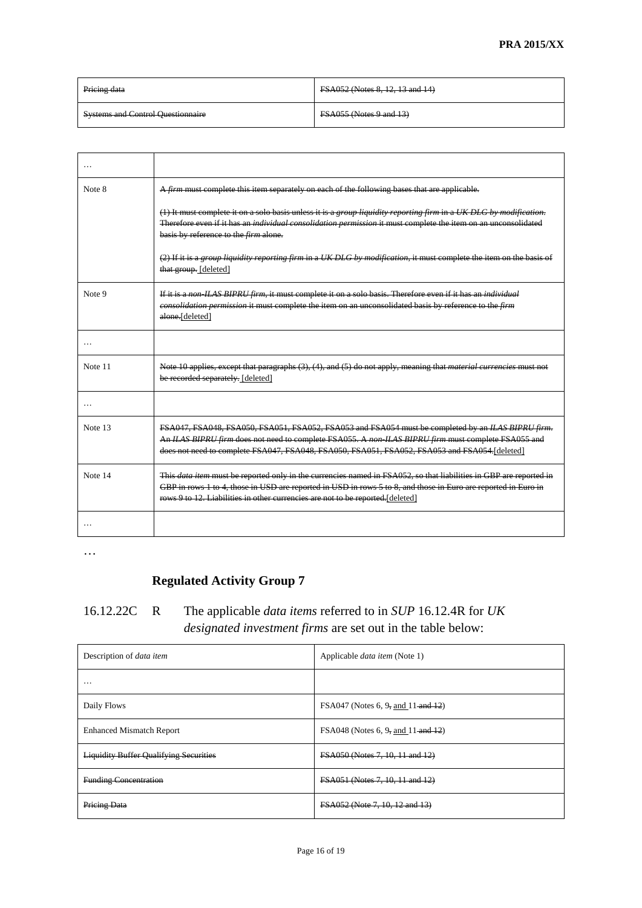| Pricing data                             | <b>FSA052 (Notes 8, 12, 13 and 14)</b> |
|------------------------------------------|----------------------------------------|
| <b>Systems and Control Questionnaire</b> | <b>FSA055 (Notes 9 and 13)</b>         |

| $\cdots$ |                                                                                                                                                                                                                                                                                                                         |
|----------|-------------------------------------------------------------------------------------------------------------------------------------------------------------------------------------------------------------------------------------------------------------------------------------------------------------------------|
| Note 8   | A firm must complete this item separately on each of the following bases that are applicable.                                                                                                                                                                                                                           |
|          | $(1)$ It must complete it on a solo basis unless it is a group liquidity reporting firm in a UK DLG by modification.<br>Therefore even if it has an <i>individual consolidation permission</i> it must complete the item on an unconsolidated<br>basis by reference to the <i>firm</i> alone.                           |
|          | (2) If it is a group liquidity reporting firm in a UK DLG by modification, it must complete the item on the basis of<br>that group. [deleted]                                                                                                                                                                           |
| Note 9   | If it is a non-ILAS BIPRU firm, it must complete it on a solo basis. Therefore even if it has an individual<br>consolidation permission it must complete the item on an unconsolidated basis by reference to the firm<br>alone.[deleted]                                                                                |
|          |                                                                                                                                                                                                                                                                                                                         |
| Note 11  | Note 10 applies, except that paragraphs (3), (4), and (5) do not apply, meaning that <i>material currencies</i> must not<br>be recorded separately. [deleted]                                                                                                                                                           |
| $\cdots$ |                                                                                                                                                                                                                                                                                                                         |
| Note 13  | FSA047, FSA048, FSA050, FSA051, FSA052, FSA053 and FSA054 must be completed by an ILAS BIPRU firm.<br>An ILAS BIPRU firm does not need to complete FSA055. A non-ILAS BIPRU firm must complete FSA055 and<br>does not need to complete FSA047, FSA048, FSA050, FSA051, FSA052, FSA053 and FSA054 [deleted]              |
| Note 14  | This data item must be reported only in the currencies named in FSA052, so that liabilities in GBP are reported in<br>GBP in rows 1 to 4, those in USD are reported in USD in rows 5 to 8, and those in Euro are reported in Euro in<br>rows 9 to 12. Liabilities in other currencies are not to be reported. [deleted] |
|          |                                                                                                                                                                                                                                                                                                                         |

# **Regulated Activity Group 7**

# 16.12.22C R The applicable *data items* referred to in *SUP* 16.12.4R for *UK designated investment firms* are set out in the table below:

| Description of <i>data item</i>               | Applicable <i>data item</i> (Note 1)   |
|-----------------------------------------------|----------------------------------------|
| $\cdots$                                      |                                        |
| Daily Flows                                   | FSA047 (Notes 6, 9, and 11 and 12)     |
| <b>Enhanced Mismatch Report</b>               | FSA048 (Notes 6, 9, and 11 and 12)     |
| <b>Liquidity Buffer Qualifying Securities</b> | <b>FSA050 (Notes 7, 10, 11 and 12)</b> |
| <b>Funding Concentration</b>                  | FSA051 (Notes 7, 10, 11 and 12)        |
| Pricing Data                                  | FSA052 (Note 7, 10, 12 and 13)         |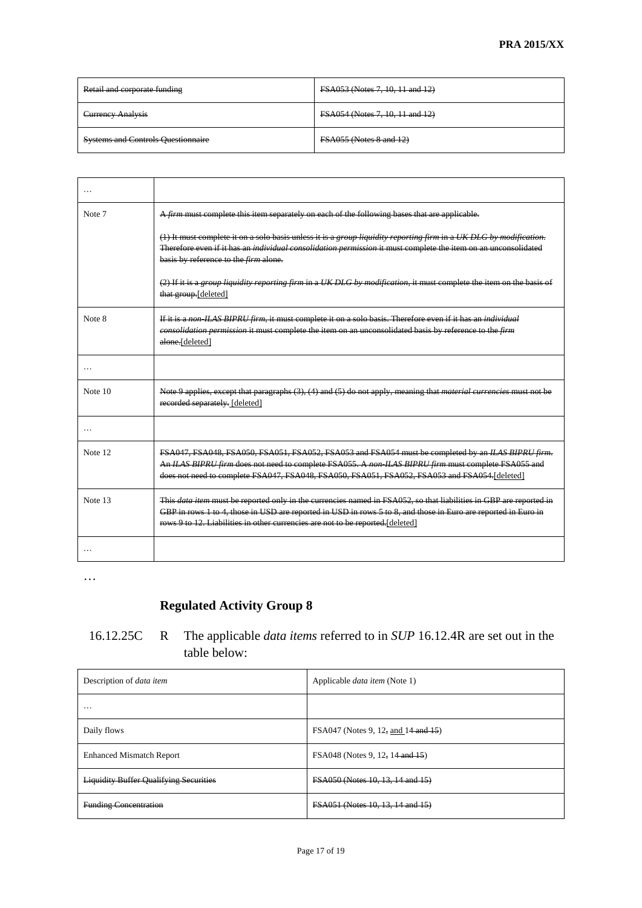| Retail and corporate funding              | FSA053 (Notes 7, 10, 11 and 12) |
|-------------------------------------------|---------------------------------|
| <b>Currency Analysis</b>                  | FSA054 (Notes 7, 10, 11 and 12) |
| <b>Systems and Controls Questionnaire</b> | <b>FSA055 (Notes 8 and 12)</b>  |

| $\cdots$ |                                                                                                                                                                                                                                                                                                                         |
|----------|-------------------------------------------------------------------------------------------------------------------------------------------------------------------------------------------------------------------------------------------------------------------------------------------------------------------------|
| Note 7   | A firm must complete this item separately on each of the following bases that are applicable.                                                                                                                                                                                                                           |
|          | (1) It must complete it on a solo basis unless it is a group liquidity reporting firm in a UK DLG by modification.<br>Therefore even if it has an <i>individual consolidation permission</i> it must complete the item on an unconsolidated<br>basis by reference to the firm alone.                                    |
|          | (2) If it is a group liquidity reporting firm in a UK DLG by modification, it must complete the item on the basis of<br>that group.[deleted]                                                                                                                                                                            |
| Note 8   | If it is a non-ILAS BIPRU firm, it must complete it on a solo basis. Therefore even if it has an individual<br>consolidation permission it must complete the item on an unconsolidated basis by reference to the firm<br>alone.[deleted]                                                                                |
| .        |                                                                                                                                                                                                                                                                                                                         |
| Note 10  | Note 9 applies, except that paragraphs (3), (4) and (5) do not apply, meaning that material currencies must not be<br>recorded separately. [deleted]                                                                                                                                                                    |
| $\cdots$ |                                                                                                                                                                                                                                                                                                                         |
| Note 12  | FSA047, FSA048, FSA050, FSA051, FSA052, FSA053 and FSA054 must be completed by an ILAS BIPRU firm.<br>An ILAS BIPRU firm does not need to complete FSA055. A non ILAS BIPRU firm must complete FSA055 and<br>does not need to complete FSA047, FSA048, FSA050, FSA051, FSA052, FSA053 and FSA054 [deleted]              |
| Note 13  | This data item must be reported only in the currencies named in FSA052, so that liabilities in GBP are reported in<br>GBP in rows 1 to 4, those in USD are reported in USD in rows 5 to 8, and those in Euro are reported in Euro in<br>rows 9 to 12. Liabilities in other currencies are not to be reported. [deleted] |
|          |                                                                                                                                                                                                                                                                                                                         |

# **Regulated Activity Group 8**

### 16.12.25C R The applicable *data items* referred to in *SUP* 16.12.4R are set out in the table below:

| Description of <i>data item</i>               | Applicable <i>data item</i> (Note 1) |
|-----------------------------------------------|--------------------------------------|
| $\cdots$                                      |                                      |
| Daily flows                                   | FSA047 (Notes 9, 12, and 14 and 15)  |
| <b>Enhanced Mismatch Report</b>               | FSA048 (Notes 9, 12, 14 and 15)      |
| <b>Liquidity Buffer Qualifying Securities</b> | FSA050 (Notes 10, 13, 14 and 15)     |
| <b>Funding Concentration</b>                  | FSA051 (Notes 10, 13, 14 and 15)     |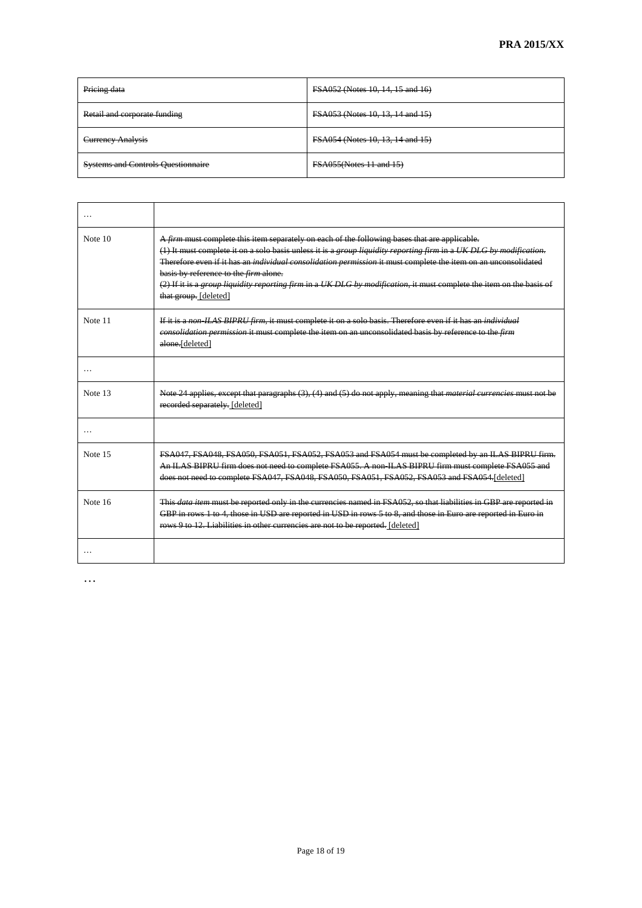| Pricing data                              | <b>FSA052 (Notes 10, 14, 15 and 16)</b> |
|-------------------------------------------|-----------------------------------------|
| Retail and corporate funding              | <b>FSA053 (Notes 10, 13, 14 and 15)</b> |
| <b>Currency Analysis</b>                  | <b>FSA054 (Notes 10, 13, 14 and 15)</b> |
| <b>Systems and Controls Questionnaire</b> | <b>FSA055(Notes 11 and 15)</b>          |

| $\cdots$ |                                                                                                                                                                                                                                                                                                                                                                                                                                                                                                                                                 |
|----------|-------------------------------------------------------------------------------------------------------------------------------------------------------------------------------------------------------------------------------------------------------------------------------------------------------------------------------------------------------------------------------------------------------------------------------------------------------------------------------------------------------------------------------------------------|
| Note 10  | A firm must complete this item separately on each of the following bases that are applicable.<br>(1) It must complete it on a solo basis unless it is a group liquidity reporting firm in a UK DLG by modification.<br>Therefore even if it has an <i>individual consolidation permission</i> it must complete the item on an unconsolidated<br>basis by reference to the <i>firm</i> alone.<br>$(2)$ If it is a group liquidity reporting firm in a UK DLG by modification, it must complete the item on the basis of<br>that group. [deleted] |
| Note 11  | If it is a non ILAS BIPRU firm, it must complete it on a solo basis. Therefore even if it has an individual<br>eonsolidation permission it must complete the item on an unconsolidated basis by reference to the firm<br>alone.[deleted]                                                                                                                                                                                                                                                                                                        |
| $\cdots$ |                                                                                                                                                                                                                                                                                                                                                                                                                                                                                                                                                 |
| Note 13  | Note 24 applies, except that paragraphs (3), (4) and (5) do not apply, meaning that material currencies must not be<br>recorded separately. [deleted]                                                                                                                                                                                                                                                                                                                                                                                           |
|          |                                                                                                                                                                                                                                                                                                                                                                                                                                                                                                                                                 |
| Note 15  | FSA047, FSA048, FSA050, FSA051, FSA052, FSA053 and FSA054 must be completed by an ILAS BIPRU firm.<br>An ILAS BIPRU firm does not need to complete FSA055. A non ILAS BIPRU firm must complete FSA055 and<br>does not need to complete FSA047, FSA048, FSA050, FSA051, FSA052, FSA053 and FSA054.[deleted]                                                                                                                                                                                                                                      |
| Note 16  | This <i>data item</i> must be reported only in the currencies named in FSA052, so that liabilities in GBP are reported in<br>GBP in rows 1 to 4, those in USD are reported in USD in rows 5 to 8, and those in Euro are reported in Euro in<br>rows 9 to 12. Liabilities in other currencies are not to be reported. [deleted]                                                                                                                                                                                                                  |
|          |                                                                                                                                                                                                                                                                                                                                                                                                                                                                                                                                                 |